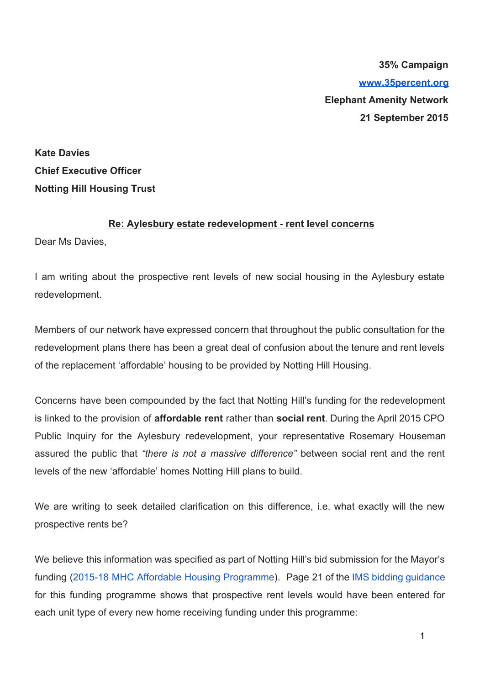**35% Campaign [www.35percent.org](http://www.35percent.org/) Elephant Amenity Network 21 September 2015**

**Kate Davies Chief Executive Officer Notting Hill Housing Trust**

## **Re: Aylesbury estate redevelopment rent level concerns**

Dear Ms Davies,

I am writing about the prospective rent levels of new social housing in the Aylesbury estate redevelopment.

Members of our network have expressed concern that throughout the public consultation for the redevelopment plans there has been a great deal of confusion about the tenure and rent levels of the replacement 'affordable' housing to be provided by Notting Hill Housing.

Concerns have been compounded by the fact that Notting Hill's funding for the redevelopment is linked to the provision of **affordable rent** rather than **social rent**. During the April 2015 CPO Public Inquiry for the Aylesbury redevelopment, your representative Rosemary Houseman assured the public that *"there is not a massive difference"* between social rent and the rent levels of the new 'affordable' homes Notting Hill plans to build.

We are writing to seek detailed clarification on this difference, i.e. what exactly will the new prospective rents be?

We believe this information was specified as part of Notting Hill's bid submission for the Mayor's funding (2015-18 MHC Affordable Housing [Programme\)](https://www.london.gov.uk/priorities/housing-land/increasing-housing-supply/mayor-housing-covenant-2015-2018). Page 21 of the IMS bidding [guidance](https://www.london.gov.uk/sites/default/files/2015-18%20IMS%20Offers%20Guidance%20v1%206_1.pdf) for this funding programme shows that prospective rent levels would have been entered for each unit type of every new home receiving funding under this programme: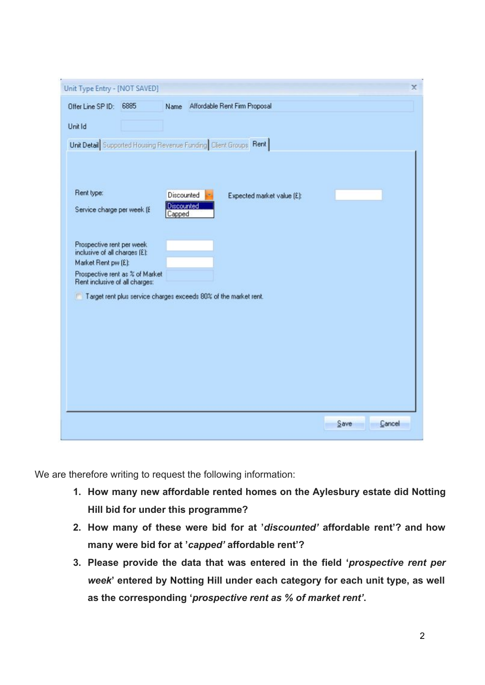| Unit Type Entry - [NOT SAVED]                                    |                                 |                      |  |                               |  |                | x |
|------------------------------------------------------------------|---------------------------------|----------------------|--|-------------------------------|--|----------------|---|
| Offer Line SP ID: 6885                                           |                                 | Name                 |  | Affordable Rent Firm Proposal |  |                |   |
| Unit Id                                                          |                                 |                      |  |                               |  |                |   |
| Unit Detail Supported Housing Revenue Funding Client Groups Rent |                                 |                      |  |                               |  |                |   |
|                                                                  |                                 |                      |  |                               |  |                |   |
|                                                                  |                                 |                      |  |                               |  |                |   |
| Rent type:                                                       |                                 | Discounted           |  | Expected market value [£]:    |  |                |   |
| Service charge per week (£                                       |                                 | Discounted<br>Capped |  |                               |  |                |   |
|                                                                  |                                 |                      |  |                               |  |                |   |
| Prospective rent per week<br>inclusive of all charges [£]:       |                                 |                      |  |                               |  |                |   |
| Market Rent pw (£):                                              |                                 |                      |  |                               |  |                |   |
| Rent inclusive of all charges:                                   | Prospective rent as % of Market |                      |  |                               |  |                |   |
| Target rent plus service charges exceeds 80% of the market rent. |                                 |                      |  |                               |  |                |   |
|                                                                  |                                 |                      |  |                               |  |                |   |
|                                                                  |                                 |                      |  |                               |  |                |   |
|                                                                  |                                 |                      |  |                               |  |                |   |
|                                                                  |                                 |                      |  |                               |  |                |   |
|                                                                  |                                 |                      |  |                               |  |                |   |
|                                                                  |                                 |                      |  |                               |  |                |   |
|                                                                  |                                 |                      |  |                               |  | Save<br>Cancel |   |
|                                                                  |                                 |                      |  |                               |  |                |   |

We are therefore writing to request the following information:

- **1. How many new affordable rented homes on the Aylesbury estate did Notting Hill bid for under this programme?**
- **2. How many of these were bid for at '***discounted'* **affordable rent'? and how many were bid for at '***capped'* **affordable rent'?**
- **3. Please provide the data that was entered in the field '***prospective rent per week***' entered by Notting Hill under each category for each unit type, as well as the corresponding '***prospective rent as % of market rent'***.**